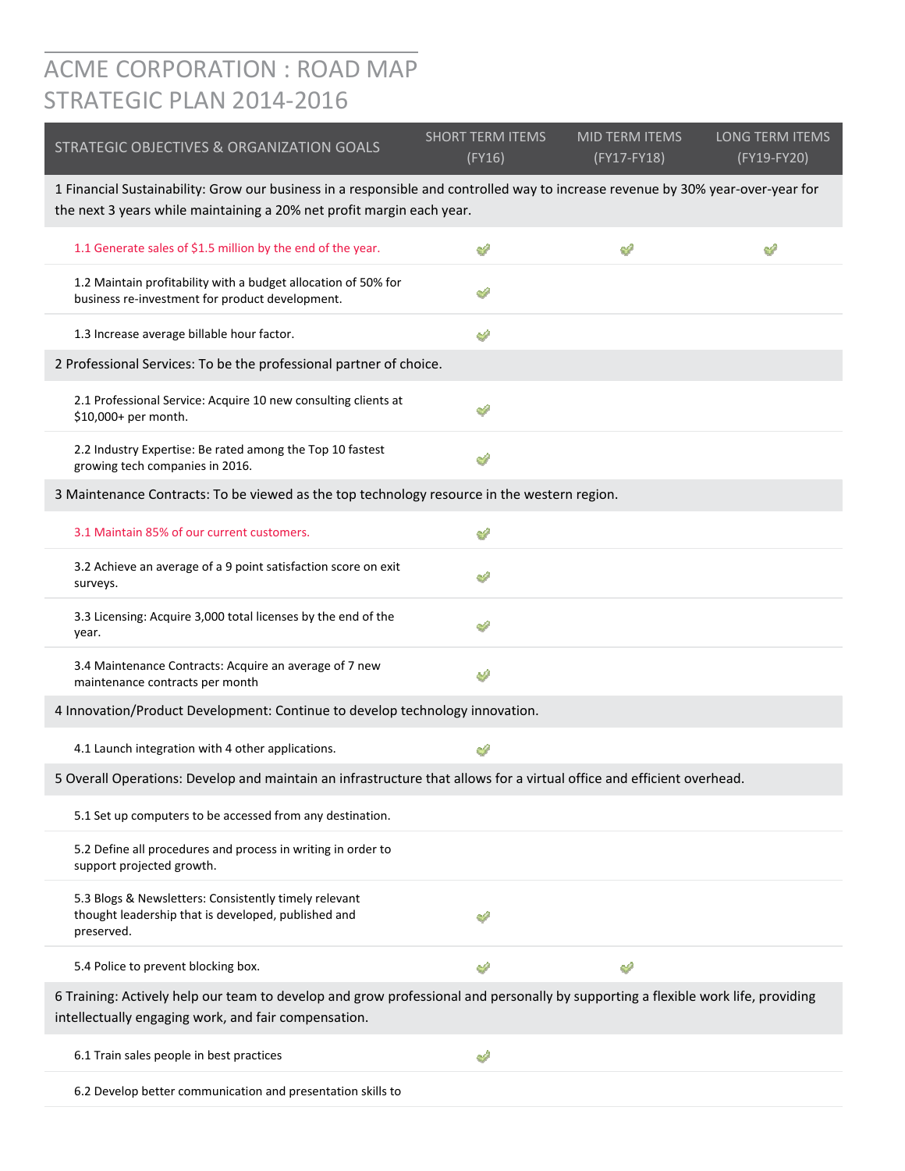## ACME CORPORATION : ROAD MAP STRATEGIC PLAN 2014‐2016

| STRATEGIC OBJECTIVES & ORGANIZATION GOALS                                                                                                                                                                | <b>SHORT TERM ITEMS</b><br>(FY16) | <b>MID TERM ITEMS</b><br>(FY17-FY18) | LONG TERM ITEMS<br>(FY19-FY20) |
|----------------------------------------------------------------------------------------------------------------------------------------------------------------------------------------------------------|-----------------------------------|--------------------------------------|--------------------------------|
| 1 Financial Sustainability: Grow our business in a responsible and controlled way to increase revenue by 30% year-over-year for<br>the next 3 years while maintaining a 20% net profit margin each year. |                                   |                                      |                                |
| 1.1 Generate sales of \$1.5 million by the end of the year.                                                                                                                                              | ∉                                 | ୰                                    | ⇙                              |
| 1.2 Maintain profitability with a budget allocation of 50% for<br>business re-investment for product development.                                                                                        |                                   |                                      |                                |
| 1.3 Increase average billable hour factor.                                                                                                                                                               | ⇙                                 |                                      |                                |
| 2 Professional Services: To be the professional partner of choice.                                                                                                                                       |                                   |                                      |                                |
| 2.1 Professional Service: Acquire 10 new consulting clients at<br>\$10,000+ per month.                                                                                                                   | ↩                                 |                                      |                                |
| 2.2 Industry Expertise: Be rated among the Top 10 fastest<br>growing tech companies in 2016.                                                                                                             | A                                 |                                      |                                |
| 3 Maintenance Contracts: To be viewed as the top technology resource in the western region.                                                                                                              |                                   |                                      |                                |
| 3.1 Maintain 85% of our current customers.                                                                                                                                                               | ∉                                 |                                      |                                |
| 3.2 Achieve an average of a 9 point satisfaction score on exit<br>surveys.                                                                                                                               | A                                 |                                      |                                |
| 3.3 Licensing: Acquire 3,000 total licenses by the end of the<br>year.                                                                                                                                   | ⇙                                 |                                      |                                |
| 3.4 Maintenance Contracts: Acquire an average of 7 new<br>maintenance contracts per month                                                                                                                | ھە                                |                                      |                                |
| 4 Innovation/Product Development: Continue to develop technology innovation.                                                                                                                             |                                   |                                      |                                |
| 4.1 Launch integration with 4 other applications.                                                                                                                                                        | ∉                                 |                                      |                                |
| 5 Overall Operations: Develop and maintain an infrastructure that allows for a virtual office and efficient overhead.                                                                                    |                                   |                                      |                                |
| 5.1 Set up computers to be accessed from any destination.                                                                                                                                                |                                   |                                      |                                |
| 5.2 Define all procedures and process in writing in order to<br>support projected growth.                                                                                                                |                                   |                                      |                                |
| 5.3 Blogs & Newsletters: Consistently timely relevant<br>thought leadership that is developed, published and<br>preserved.                                                                               | Â                                 |                                      |                                |
| 5.4 Police to prevent blocking box.                                                                                                                                                                      | ∉                                 | ↩                                    |                                |
| 6 Training: Actively help our team to develop and grow professional and personally by supporting a flexible work life, providing<br>intellectually engaging work, and fair compensation.                 |                                   |                                      |                                |
| 6.1 Train sales people in best practices                                                                                                                                                                 | A                                 |                                      |                                |
| 6.2 Develop better communication and presentation skills to                                                                                                                                              |                                   |                                      |                                |